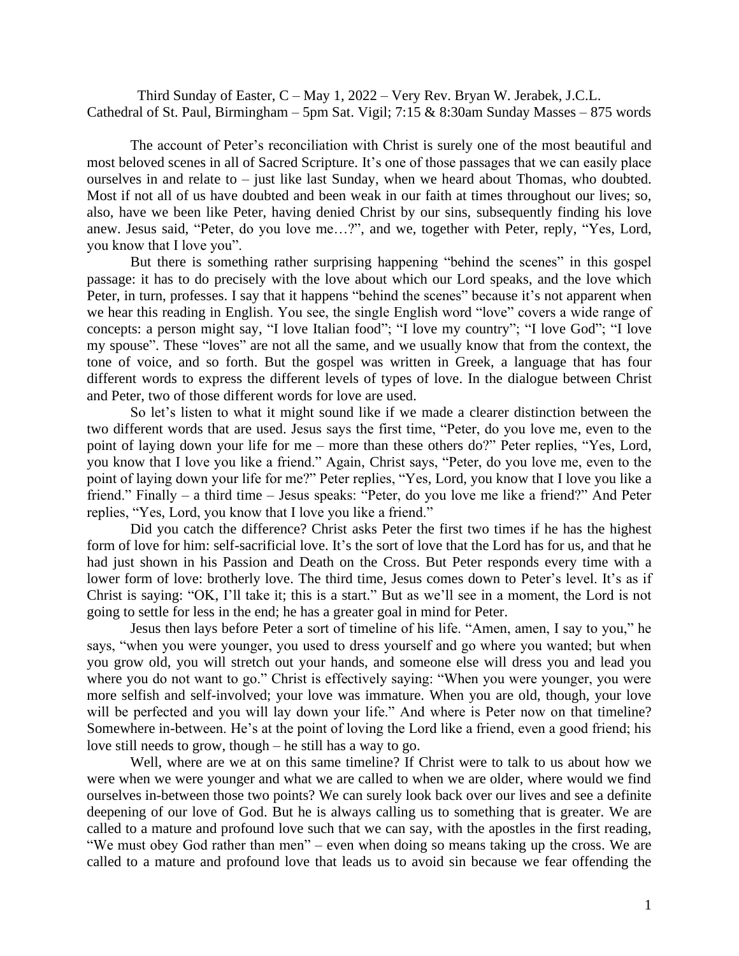Third Sunday of Easter, C – May 1, 2022 – Very Rev. Bryan W. Jerabek, J.C.L. Cathedral of St. Paul, Birmingham – 5pm Sat. Vigil; 7:15 & 8:30am Sunday Masses – 875 words

The account of Peter's reconciliation with Christ is surely one of the most beautiful and most beloved scenes in all of Sacred Scripture. It's one of those passages that we can easily place ourselves in and relate to – just like last Sunday, when we heard about Thomas, who doubted. Most if not all of us have doubted and been weak in our faith at times throughout our lives; so, also, have we been like Peter, having denied Christ by our sins, subsequently finding his love anew. Jesus said, "Peter, do you love me…?", and we, together with Peter, reply, "Yes, Lord, you know that I love you".

But there is something rather surprising happening "behind the scenes" in this gospel passage: it has to do precisely with the love about which our Lord speaks, and the love which Peter, in turn, professes. I say that it happens "behind the scenes" because it's not apparent when we hear this reading in English. You see, the single English word "love" covers a wide range of concepts: a person might say, "I love Italian food"; "I love my country"; "I love God"; "I love my spouse". These "loves" are not all the same, and we usually know that from the context, the tone of voice, and so forth. But the gospel was written in Greek, a language that has four different words to express the different levels of types of love. In the dialogue between Christ and Peter, two of those different words for love are used.

So let's listen to what it might sound like if we made a clearer distinction between the two different words that are used. Jesus says the first time, "Peter, do you love me, even to the point of laying down your life for me – more than these others do?" Peter replies, "Yes, Lord, you know that I love you like a friend." Again, Christ says, "Peter, do you love me, even to the point of laying down your life for me?" Peter replies, "Yes, Lord, you know that I love you like a friend." Finally – a third time – Jesus speaks: "Peter, do you love me like a friend?" And Peter replies, "Yes, Lord, you know that I love you like a friend."

Did you catch the difference? Christ asks Peter the first two times if he has the highest form of love for him: self-sacrificial love. It's the sort of love that the Lord has for us, and that he had just shown in his Passion and Death on the Cross. But Peter responds every time with a lower form of love: brotherly love. The third time, Jesus comes down to Peter's level. It's as if Christ is saying: "OK, I'll take it; this is a start." But as we'll see in a moment, the Lord is not going to settle for less in the end; he has a greater goal in mind for Peter.

Jesus then lays before Peter a sort of timeline of his life. "Amen, amen, I say to you," he says, "when you were younger, you used to dress yourself and go where you wanted; but when you grow old, you will stretch out your hands, and someone else will dress you and lead you where you do not want to go." Christ is effectively saying: "When you were younger, you were more selfish and self-involved; your love was immature. When you are old, though, your love will be perfected and you will lay down your life." And where is Peter now on that timeline? Somewhere in-between. He's at the point of loving the Lord like a friend, even a good friend; his love still needs to grow, though – he still has a way to go.

Well, where are we at on this same timeline? If Christ were to talk to us about how we were when we were younger and what we are called to when we are older, where would we find ourselves in-between those two points? We can surely look back over our lives and see a definite deepening of our love of God. But he is always calling us to something that is greater. We are called to a mature and profound love such that we can say, with the apostles in the first reading, "We must obey God rather than men" – even when doing so means taking up the cross. We are called to a mature and profound love that leads us to avoid sin because we fear offending the